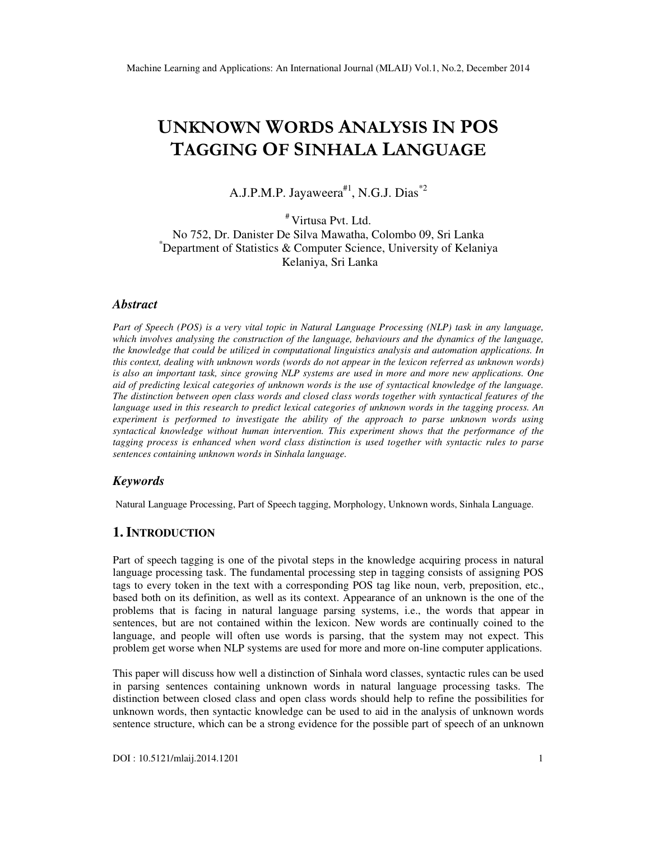# **UNKNOWN WORDS ANALYSIS IN POS TAGGING OF SINHALA LANGUAGE**

A.J.P.M.P. Jayaweera<sup>#1</sup>, N.G.J. Dias<sup>\*2</sup>

# Virtusa Pvt. Ltd. No 752, Dr. Danister De Silva Mawatha, Colombo 09, Sri Lanka  $\Delta$  Department of Statistics & Computer Science, University of Kelaniya Kelaniya, Sri Lanka

#### *Abstract*

*Part of Speech (POS) is a very vital topic in Natural Language Processing (NLP) task in any language, which involves analysing the construction of the language, behaviours and the dynamics of the language, the knowledge that could be utilized in computational linguistics analysis and automation applications. In this context, dealing with unknown words (words do not appear in the lexicon referred as unknown words) is also an important task, since growing NLP systems are used in more and more new applications. One aid of predicting lexical categories of unknown words is the use of syntactical knowledge of the language. The distinction between open class words and closed class words together with syntactical features of the language used in this research to predict lexical categories of unknown words in the tagging process. An experiment is performed to investigate the ability of the approach to parse unknown words using syntactical knowledge without human intervention. This experiment shows that the performance of the tagging process is enhanced when word class distinction is used together with syntactic rules to parse sentences containing unknown words in Sinhala language.* 

#### *Keywords*

Natural Language Processing, Part of Speech tagging, Morphology, Unknown words, Sinhala Language.

## **1. INTRODUCTION**

Part of speech tagging is one of the pivotal steps in the knowledge acquiring process in natural language processing task. The fundamental processing step in tagging consists of assigning POS tags to every token in the text with a corresponding POS tag like noun, verb, preposition, etc., based both on its definition, as well as its context. Appearance of an unknown is the one of the problems that is facing in natural language parsing systems, i.e., the words that appear in sentences, but are not contained within the lexicon. New words are continually coined to the language, and people will often use words is parsing, that the system may not expect. This problem get worse when NLP systems are used for more and more on-line computer applications.

This paper will discuss how well a distinction of Sinhala word classes, syntactic rules can be used in parsing sentences containing unknown words in natural language processing tasks. The distinction between closed class and open class words should help to refine the possibilities for unknown words, then syntactic knowledge can be used to aid in the analysis of unknown words sentence structure, which can be a strong evidence for the possible part of speech of an unknown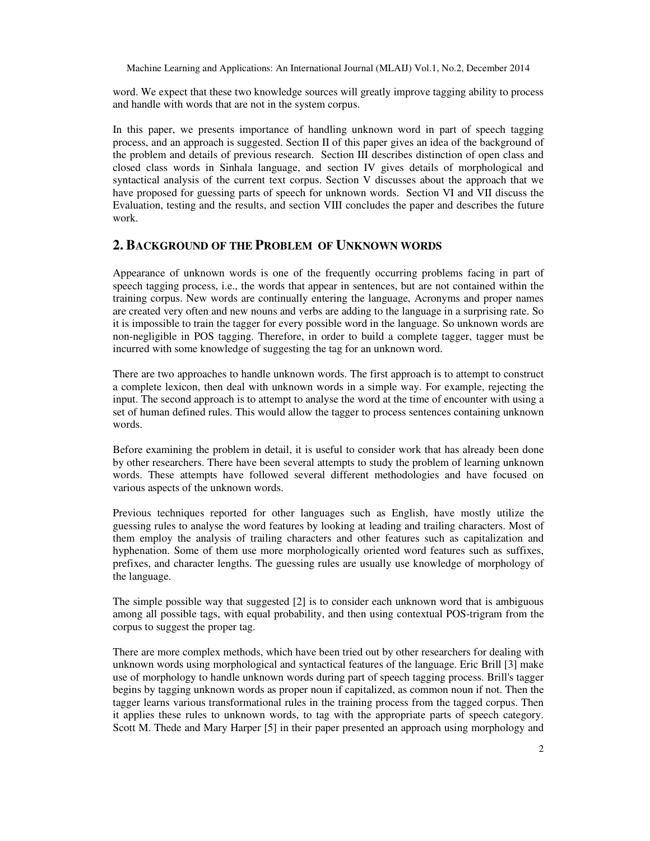word. We expect that these two knowledge sources will greatly improve tagging ability to process and handle with words that are not in the system corpus.

In this paper, we presents importance of handling unknown word in part of speech tagging process, and an approach is suggested. Section II of this paper gives an idea of the background of the problem and details of previous research. Section III describes distinction of open class and closed class words in Sinhala language, and section IV gives details of morphological and syntactical analysis of the current text corpus. Section V discusses about the approach that we have proposed for guessing parts of speech for unknown words. Section VI and VII discuss the Evaluation, testing and the results, and section VIII concludes the paper and describes the future work.

## **2. BACKGROUND OF THE PROBLEM OF UNKNOWN WORDS**

Appearance of unknown words is one of the frequently occurring problems facing in part of speech tagging process, i.e., the words that appear in sentences, but are not contained within the training corpus. New words are continually entering the language, Acronyms and proper names are created very often and new nouns and verbs are adding to the language in a surprising rate. So it is impossible to train the tagger for every possible word in the language. So unknown words are non-negligible in POS tagging. Therefore, in order to build a complete tagger, tagger must be incurred with some knowledge of suggesting the tag for an unknown word.

There are two approaches to handle unknown words. The first approach is to attempt to construct a complete lexicon, then deal with unknown words in a simple way. For example, rejecting the input. The second approach is to attempt to analyse the word at the time of encounter with using a set of human defined rules. This would allow the tagger to process sentences containing unknown words.

Before examining the problem in detail, it is useful to consider work that has already been done by other researchers. There have been several attempts to study the problem of learning unknown words. These attempts have followed several different methodologies and have focused on various aspects of the unknown words.

Previous techniques reported for other languages such as English, have mostly utilize the guessing rules to analyse the word features by looking at leading and trailing characters. Most of them employ the analysis of trailing characters and other features such as capitalization and hyphenation. Some of them use more morphologically oriented word features such as suffixes, prefixes, and character lengths. The guessing rules are usually use knowledge of morphology of the language.

The simple possible way that suggested [2] is to consider each unknown word that is ambiguous among all possible tags, with equal probability, and then using contextual POS-trigram from the corpus to suggest the proper tag.

There are more complex methods, which have been tried out by other researchers for dealing with unknown words using morphological and syntactical features of the language. Eric Brill [3] make use of morphology to handle unknown words during part of speech tagging process. Brill's tagger begins by tagging unknown words as proper noun if capitalized, as common noun if not. Then the tagger learns various transformational rules in the training process from the tagged corpus. Then it applies these rules to unknown words, to tag with the appropriate parts of speech category. Scott M. Thede and Mary Harper [5] in their paper presented an approach using morphology and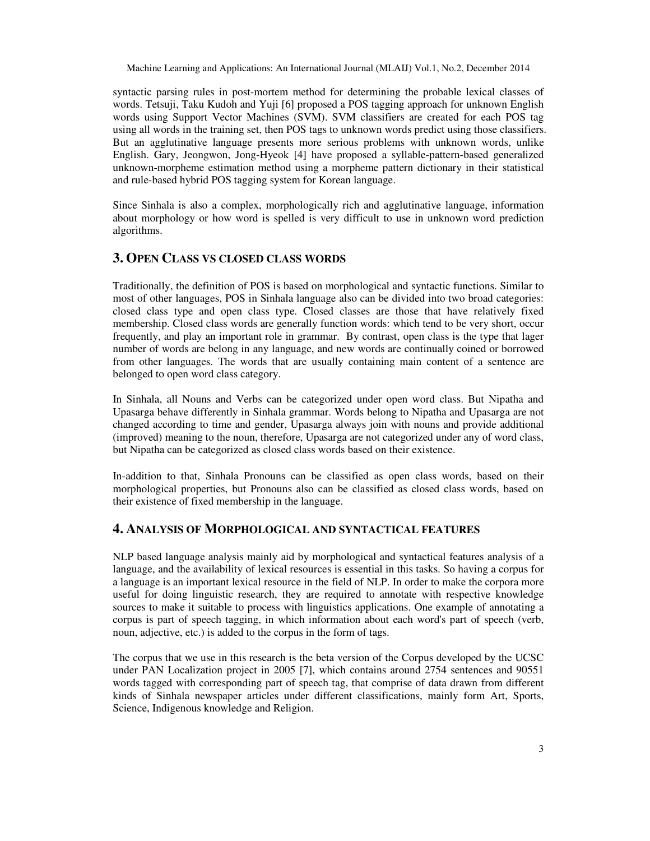syntactic parsing rules in post-mortem method for determining the probable lexical classes of words. Tetsuji, Taku Kudoh and Yuji [6] proposed a POS tagging approach for unknown English words using Support Vector Machines (SVM). SVM classifiers are created for each POS tag using all words in the training set, then POS tags to unknown words predict using those classifiers. But an agglutinative language presents more serious problems with unknown words, unlike English. Gary, Jeongwon, Jong-Hyeok [4] have proposed a syllable-pattern-based generalized unknown-morpheme estimation method using a morpheme pattern dictionary in their statistical and rule-based hybrid POS tagging system for Korean language.

Since Sinhala is also a complex, morphologically rich and agglutinative language, information about morphology or how word is spelled is very difficult to use in unknown word prediction algorithms.

## **3. OPEN CLASS VS CLOSED CLASS WORDS**

Traditionally, the definition of POS is based on morphological and syntactic functions. Similar to most of other languages, POS in Sinhala language also can be divided into two broad categories: closed class type and open class type. Closed classes are those that have relatively fixed membership. Closed class words are generally function words: which tend to be very short, occur frequently, and play an important role in grammar. By contrast, open class is the type that lager number of words are belong in any language, and new words are continually coined or borrowed from other languages. The words that are usually containing main content of a sentence are belonged to open word class category.

In Sinhala, all Nouns and Verbs can be categorized under open word class. But Nipatha and Upasarga behave differently in Sinhala grammar. Words belong to Nipatha and Upasarga are not changed according to time and gender, Upasarga always join with nouns and provide additional (improved) meaning to the noun, therefore, Upasarga are not categorized under any of word class, but Nipatha can be categorized as closed class words based on their existence.

In-addition to that, Sinhala Pronouns can be classified as open class words, based on their morphological properties, but Pronouns also can be classified as closed class words, based on their existence of fixed membership in the language.

#### **4. ANALYSIS OF MORPHOLOGICAL AND SYNTACTICAL FEATURES**

NLP based language analysis mainly aid by morphological and syntactical features analysis of a language, and the availability of lexical resources is essential in this tasks. So having a corpus for a language is an important lexical resource in the field of NLP. In order to make the corpora more useful for doing linguistic research, they are required to annotate with respective knowledge sources to make it suitable to process with linguistics applications. One example of annotating a corpus is part of speech tagging, in which information about each word's part of speech (verb, noun, adjective, etc.) is added to the corpus in the form of tags.

The corpus that we use in this research is the beta version of the Corpus developed by the UCSC under PAN Localization project in 2005 [7], which contains around 2754 sentences and 90551 words tagged with corresponding part of speech tag, that comprise of data drawn from different kinds of Sinhala newspaper articles under different classifications, mainly form Art, Sports, Science, Indigenous knowledge and Religion.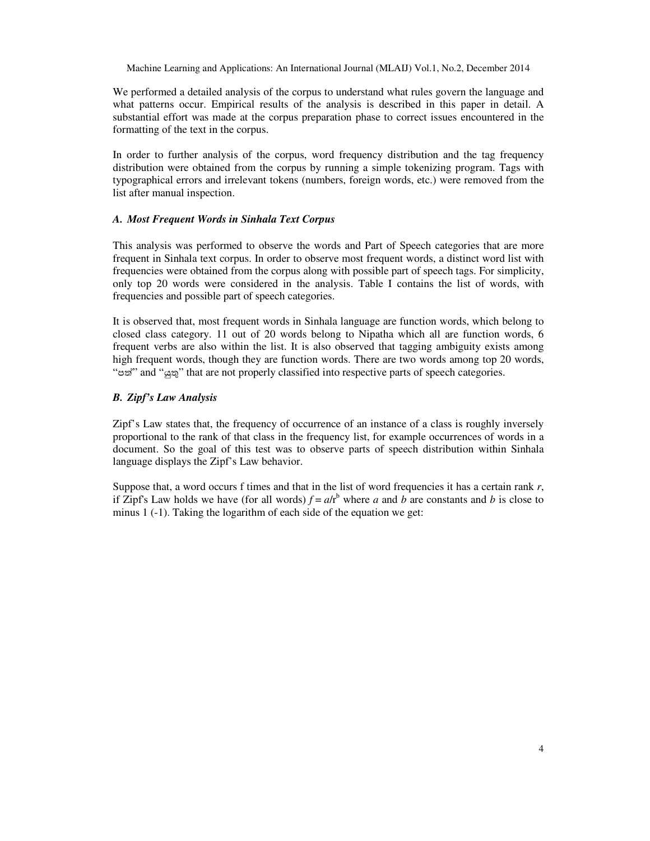We performed a detailed analysis of the corpus to understand what rules govern the language and what patterns occur. Empirical results of the analysis is described in this paper in detail. A substantial effort was made at the corpus preparation phase to correct issues encountered in the formatting of the text in the corpus.

In order to further analysis of the corpus, word frequency distribution and the tag frequency distribution were obtained from the corpus by running a simple tokenizing program. Tags with typographical errors and irrelevant tokens (numbers, foreign words, etc.) were removed from the list after manual inspection.

#### *A. Most Frequent Words in Sinhala Text Corpus*

This analysis was performed to observe the words and Part of Speech categories that are more frequent in Sinhala text corpus. In order to observe most frequent words, a distinct word list with frequencies were obtained from the corpus along with possible part of speech tags. For simplicity, only top 20 words were considered in the analysis. Table I contains the list of words, with frequencies and possible part of speech categories.

It is observed that, most frequent words in Sinhala language are function words, which belong to closed class category. 11 out of 20 words belong to Nipatha which all are function words, 6 frequent verbs are also within the list. It is also observed that tagging ambiguity exists among high frequent words, though they are function words. There are two words among top 20 words, "පත්" and "යුතු" that are not properly classified into respective parts of speech categories.

#### *B. Zipf's Law Analysis*

Zipf's Law states that, the frequency of occurrence of an instance of a class is roughly inversely proportional to the rank of that class in the frequency list, for example occurrences of words in a document. So the goal of this test was to observe parts of speech distribution within Sinhala language displays the Zipf's Law behavior.

Suppose that, a word occurs f times and that in the list of word frequencies it has a certain rank *r*, if Zipf's Law holds we have (for all words)  $f = a/r^b$  where *a* and *b* are constants and *b* is close to minus 1 (-1). Taking the logarithm of each side of the equation we get: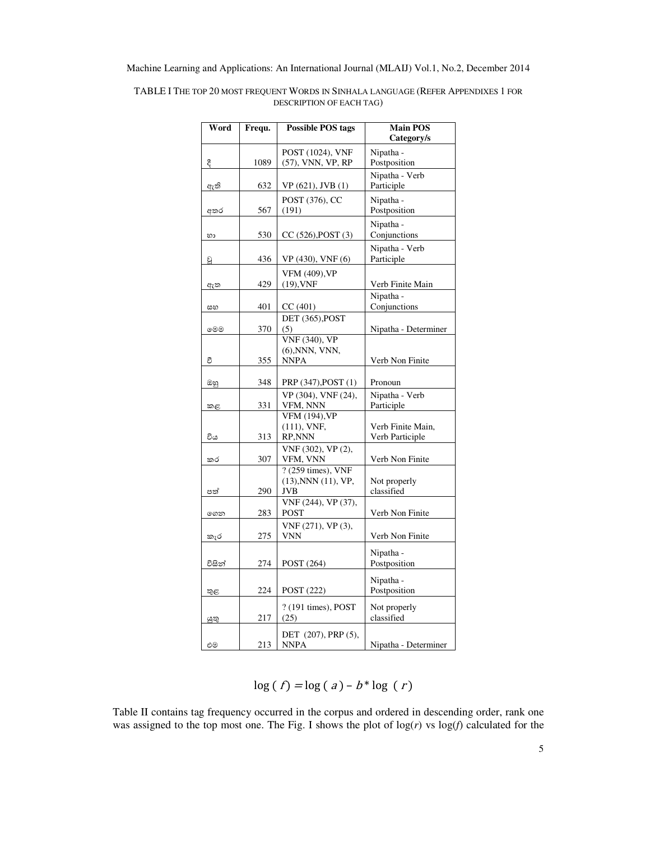TABLE I THE TOP 20 MOST FREQUENT WORDS IN SINHALA LANGUAGE (REFER APPENDIXES 1 FOR DESCRIPTION OF EACH TAG)

| Word      | Frequ. | <b>Possible POS tags</b>        | <b>Main POS</b>              |  |  |
|-----------|--------|---------------------------------|------------------------------|--|--|
|           |        |                                 | Category/s                   |  |  |
|           |        | POST (1024), VNF                | Nipatha -                    |  |  |
| දී        | 1089   | (57), VNN, VP, RP               | Postposition                 |  |  |
| ඇති       | 632    | VP (621), JVB (1)               | Nipatha - Verb<br>Participle |  |  |
|           |        | POST (376), CC                  | Nipatha -                    |  |  |
| අතර       | 567    | (191)                           | Postposition                 |  |  |
|           |        |                                 | Nipatha -                    |  |  |
| හා        | 530    | CC(526), POST(3)                | Conjunctions                 |  |  |
|           |        |                                 | Nipatha - Verb               |  |  |
| වූ        | 436    | VP (430), VNF (6)               | Participle                   |  |  |
|           |        | <b>VFM (409), VP</b>            |                              |  |  |
| ඇත        | 429    | $(19)$ , VNF                    | Verb Finite Main             |  |  |
|           |        |                                 | Nipatha -                    |  |  |
| සහ        | 401    | CC(401)                         | Conjunctions                 |  |  |
| මෙම       | 370    | DET (365), POST<br>(5)          | Nipatha - Determiner         |  |  |
|           |        | <b>VNF</b> (340), VP            |                              |  |  |
|           |        | (6), NNN, VNN,                  |                              |  |  |
| වී        | 355    | <b>NNPA</b>                     | Verb Non Finite              |  |  |
|           |        |                                 |                              |  |  |
| ඔහු       | 348    | PRP (347), POST (1)             | Pronoun                      |  |  |
|           |        | VP (304), VNF (24),<br>VFM, NNN | Nipatha - Verb<br>Participle |  |  |
| <u>කළ</u> | 331    | <b>VFM</b> (194), VP            |                              |  |  |
|           |        | $(111)$ , VNF,                  | Verb Finite Main,            |  |  |
| විය       | 313    | RP, NNN                         | Verb Participle              |  |  |
|           |        | VNF (302), VP (2),              |                              |  |  |
| කර        | 307    | VFM, VNN<br>? (259 times), VNF  | Verb Non Finite              |  |  |
|           |        | $(13)$ , NNN $(11)$ , VP,       | Not properly                 |  |  |
| පත්       | 290    | <b>JVB</b>                      | classified                   |  |  |
|           |        | VNF (244), VP (37),             |                              |  |  |
| ගෙන       | 283    | <b>POST</b>                     | Verb Non Finite              |  |  |
|           |        | VNF (271), VP (3),              |                              |  |  |
| කැර       | 275    | VNN                             | Verb Non Finite              |  |  |
|           |        |                                 | Nipatha -                    |  |  |
| විසින්    | 274    | POST (264)                      | Postposition                 |  |  |
|           |        |                                 | Nipatha -                    |  |  |
| තුළ       | 224    | POST (222)                      | Postposition                 |  |  |
|           |        | ? (191 times), POST             | Not properly                 |  |  |
| යුතු      | 217    | (25)                            | classified                   |  |  |
|           |        | DET (207), PRP (5),             |                              |  |  |
| එම        | 213    | <b>NNPA</b>                     | Nipatha - Determiner         |  |  |

 $log(f) = log(a) - b * log(r)$ 

Table II contains tag frequency occurred in the corpus and ordered in descending order, rank one was assigned to the top most one. The Fig. I shows the plot of log(*r*) vs log(*f*) calculated for the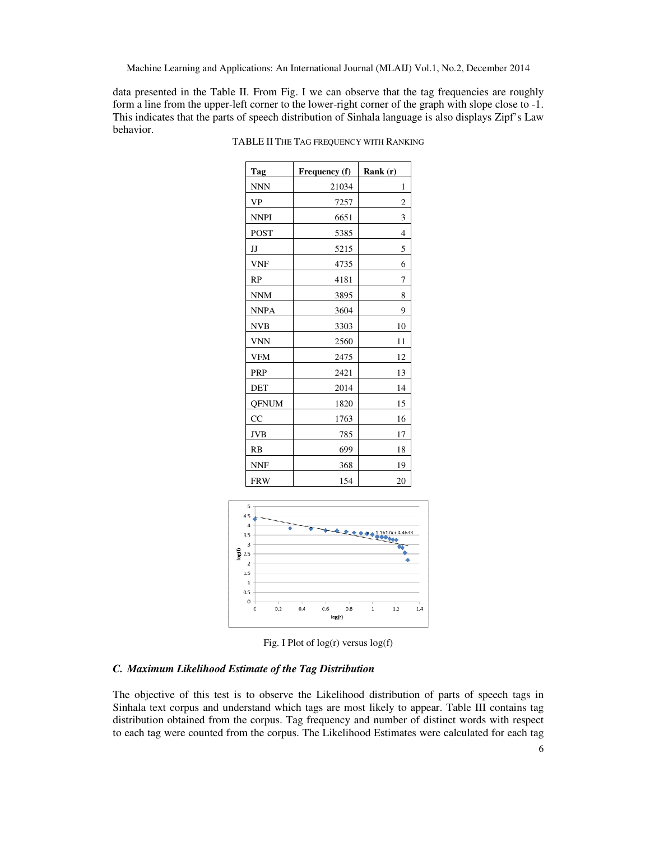data presented in the Table II. From Fig. I we can observe that the tag frequencies are roughly form a line from the upper-left corner to the lower-right corner of the graph with slope close to -1. This indicates that the parts of speech distribution of Sinhala language is also displays Zipf's Law behavior.

| Tag          | Frequency (f) | Rank (r) |
|--------------|---------------|----------|
| NNN          | 21034         | 1        |
| VP           | 7257          | 2        |
| <b>NNPI</b>  | 6651          | 3        |
| <b>POST</b>  | 5385          | 4        |
| IJ           | 5215          | 5        |
| <b>VNF</b>   | 4735          | 6        |
| RP           | 4181          | 7        |
| <b>NNM</b>   | 3895          | 8        |
| <b>NNPA</b>  | 3604          | 9        |
| <b>NVB</b>   | 3303          | 10       |
| VNN          | 2560          | 11       |
| VFM          | 2475          | 12       |
| PRP          | 2421          | 13       |
| <b>DET</b>   | 2014          | 14       |
| <b>QFNUM</b> | 1820          | 15       |
| CC           | 1763          | 16       |
| JVB          | 785           | 17       |
| RB           | 699           | 18       |
| <b>NNF</b>   | 368           | 19       |
| <b>FRW</b>   | 154           | 20       |

TABLE II THE TAG FREQUENCY WITH RANKING



Fig. I Plot of log(r) versus log(f)

#### *C. Maximum Likelihood Estimate of the Tag Distribution*

The objective of this test is to observe the Likelihood distribution of parts of speech tags in Sinhala text corpus and understand which tags are most likely to appear. Table III contains tag distribution obtained from the corpus. Tag frequency and number of distinct words with respect to each tag were counted from the corpus. The Likelihood Estimates were calculated for each tag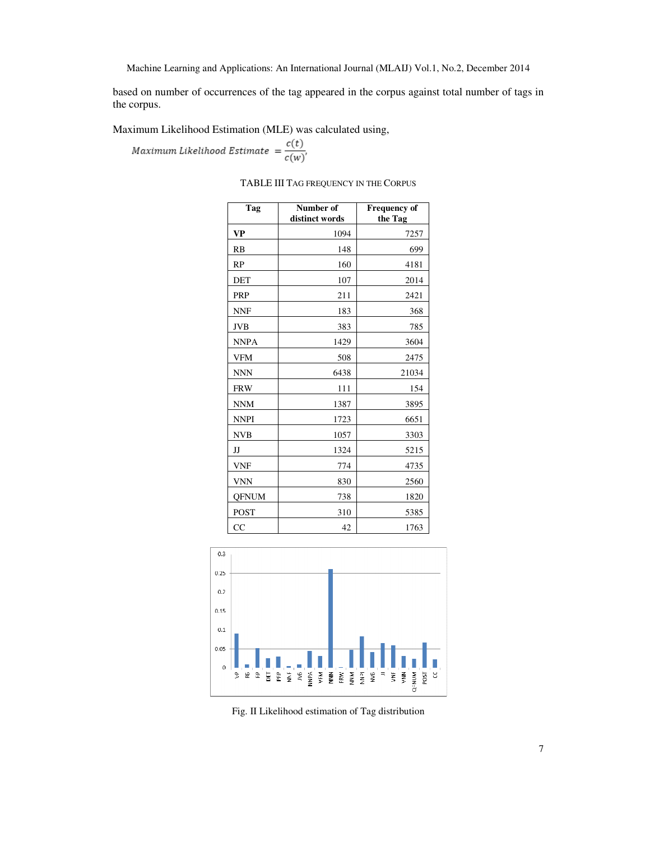based on number of occurrences of the tag appeared in the corpus against total number of tags in the corpus.

Maximum Likelihood Estimation (MLE) was calculated using,

 $\textit{Maximum Likelihood Estimate } = \frac{c(t)}{c(w)},$ 

| Tag          | Number of<br>distinct words | <b>Frequency of</b><br>the Tag |
|--------------|-----------------------------|--------------------------------|
| <b>VP</b>    | 1094                        | 7257                           |
| RB           | 148                         | 699                            |
| RP           | 160                         | 4181                           |
| DET          | 107                         | 2014                           |
| PRP          | 211                         | 2421                           |
| <b>NNF</b>   | 183                         | 368                            |
| <b>JVB</b>   | 383                         | 785                            |
| <b>NNPA</b>  | 1429                        | 3604                           |
| <b>VFM</b>   | 508                         | 2475                           |
| <b>NNN</b>   | 6438                        | 21034                          |
| <b>FRW</b>   | 111                         | 154                            |
| <b>NNM</b>   | 1387                        | 3895                           |
| <b>NNPI</b>  | 1723                        | 6651                           |
| <b>NVB</b>   | 1057                        | 3303                           |
| IJ           | 1324                        | 5215                           |
| <b>VNF</b>   | 774                         | 4735                           |
| VNN          | 830                         | 2560                           |
| <b>QFNUM</b> | 738                         | 1820                           |
| <b>POST</b>  | 310                         | 5385                           |
| CC           | 42                          | 1763                           |

#### TABLE III TAG FREQUENCY IN THE CORPUS



Fig. II Likelihood estimation of Tag distribution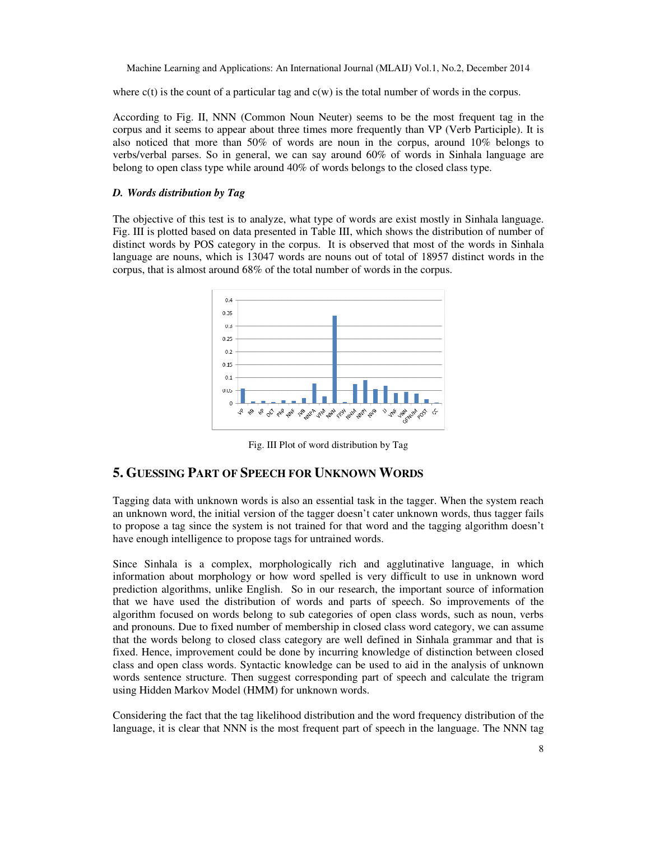where  $c(t)$  is the count of a particular tag and  $c(w)$  is the total number of words in the corpus.

According to Fig. II, NNN (Common Noun Neuter) seems to be the most frequent tag in the corpus and it seems to appear about three times more frequently than VP (Verb Participle). It is also noticed that more than 50% of words are noun in the corpus, around 10% belongs to verbs/verbal parses. So in general, we can say around 60% of words in Sinhala language are belong to open class type while around 40% of words belongs to the closed class type.

#### *D. Words distribution by Tag*

The objective of this test is to analyze, what type of words are exist mostly in Sinhala language. Fig. III is plotted based on data presented in Table III, which shows the distribution of number of distinct words by POS category in the corpus. It is observed that most of the words in Sinhala language are nouns, which is 13047 words are nouns out of total of 18957 distinct words in the corpus, that is almost around 68% of the total number of words in the corpus.



Fig. III Plot of word distribution by Tag

## **5. GUESSING PART OF SPEECH FOR UNKNOWN WORDS**

Tagging data with unknown words is also an essential task in the tagger. When the system reach an unknown word, the initial version of the tagger doesn't cater unknown words, thus tagger fails to propose a tag since the system is not trained for that word and the tagging algorithm doesn't have enough intelligence to propose tags for untrained words.

Since Sinhala is a complex, morphologically rich and agglutinative language, in which information about morphology or how word spelled is very difficult to use in unknown word prediction algorithms, unlike English. So in our research, the important source of information that we have used the distribution of words and parts of speech. So improvements of the algorithm focused on words belong to sub categories of open class words, such as noun, verbs and pronouns. Due to fixed number of membership in closed class word category, we can assume that the words belong to closed class category are well defined in Sinhala grammar and that is fixed. Hence, improvement could be done by incurring knowledge of distinction between closed class and open class words. Syntactic knowledge can be used to aid in the analysis of unknown words sentence structure. Then suggest corresponding part of speech and calculate the trigram using Hidden Markov Model (HMM) for unknown words.

Considering the fact that the tag likelihood distribution and the word frequency distribution of the language, it is clear that NNN is the most frequent part of speech in the language. The NNN tag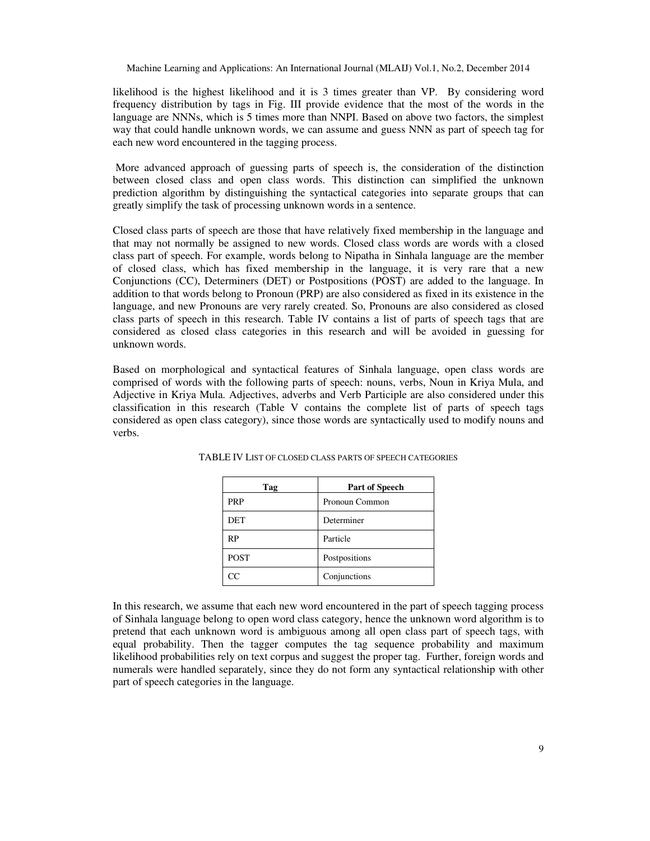likelihood is the highest likelihood and it is 3 times greater than VP. By considering word frequency distribution by tags in Fig. III provide evidence that the most of the words in the language are NNNs, which is 5 times more than NNPI. Based on above two factors, the simplest way that could handle unknown words, we can assume and guess NNN as part of speech tag for each new word encountered in the tagging process.

 More advanced approach of guessing parts of speech is, the consideration of the distinction between closed class and open class words. This distinction can simplified the unknown prediction algorithm by distinguishing the syntactical categories into separate groups that can greatly simplify the task of processing unknown words in a sentence.

Closed class parts of speech are those that have relatively fixed membership in the language and that may not normally be assigned to new words. Closed class words are words with a closed class part of speech. For example, words belong to Nipatha in Sinhala language are the member of closed class, which has fixed membership in the language, it is very rare that a new Conjunctions (CC), Determiners (DET) or Postpositions (POST) are added to the language. In addition to that words belong to Pronoun (PRP) are also considered as fixed in its existence in the language, and new Pronouns are very rarely created. So, Pronouns are also considered as closed class parts of speech in this research. Table IV contains a list of parts of speech tags that are considered as closed class categories in this research and will be avoided in guessing for unknown words.

Based on morphological and syntactical features of Sinhala language, open class words are comprised of words with the following parts of speech: nouns, verbs, Noun in Kriya Mula, and Adjective in Kriya Mula. Adjectives, adverbs and Verb Participle are also considered under this classification in this research (Table V contains the complete list of parts of speech tags considered as open class category), since those words are syntactically used to modify nouns and verbs.

| Tag         | <b>Part of Speech</b> |
|-------------|-----------------------|
| <b>PRP</b>  | Pronoun Common        |
| DET         | Determiner            |
| RP          | Particle              |
| <b>POST</b> | Postpositions         |
| CC          | Conjunctions          |

TABLE IV LIST OF CLOSED CLASS PARTS OF SPEECH CATEGORIES

In this research, we assume that each new word encountered in the part of speech tagging process of Sinhala language belong to open word class category, hence the unknown word algorithm is to pretend that each unknown word is ambiguous among all open class part of speech tags, with equal probability. Then the tagger computes the tag sequence probability and maximum likelihood probabilities rely on text corpus and suggest the proper tag. Further, foreign words and numerals were handled separately, since they do not form any syntactical relationship with other part of speech categories in the language.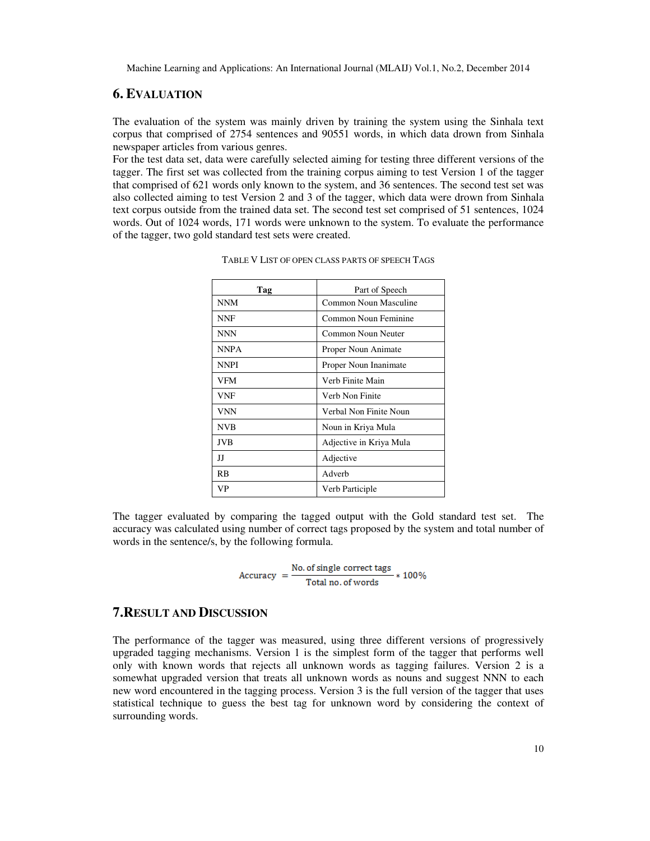## **6. EVALUATION**

The evaluation of the system was mainly driven by training the system using the Sinhala text corpus that comprised of 2754 sentences and 90551 words, in which data drown from Sinhala newspaper articles from various genres.

For the test data set, data were carefully selected aiming for testing three different versions of the tagger. The first set was collected from the training corpus aiming to test Version 1 of the tagger that comprised of 621 words only known to the system, and 36 sentences. The second test set was also collected aiming to test Version 2 and 3 of the tagger, which data were drown from Sinhala text corpus outside from the trained data set. The second test set comprised of 51 sentences, 1024 words. Out of 1024 words, 171 words were unknown to the system. To evaluate the performance of the tagger, two gold standard test sets were created.

| Tag         | Part of Speech          |
|-------------|-------------------------|
| <b>NNM</b>  | Common Noun Masculine   |
| <b>NNF</b>  | Common Noun Feminine    |
| <b>NNN</b>  | Common Noun Neuter      |
| <b>NNPA</b> | Proper Noun Animate     |
| <b>NNPI</b> | Proper Noun Inanimate   |
| VFM         | Verb Finite Main        |
| <b>VNF</b>  | Verb Non Finite         |
| <b>VNN</b>  | Verbal Non Finite Noun  |
| <b>NVB</b>  | Noun in Kriya Mula      |
| <b>JVB</b>  | Adjective in Kriya Mula |
| IJ          | Adjective               |
| RB          | Adverb                  |
| VP          | Verb Participle         |

TABLE V LIST OF OPEN CLASS PARTS OF SPEECH TAGS

The tagger evaluated by comparing the tagged output with the Gold standard test set. The accuracy was calculated using number of correct tags proposed by the system and total number of words in the sentence/s, by the following formula.

$$
Accuracy \ = \frac{No. \ of \ single \ correct \ tags}{Total \ no. \ of \ words} * 100\%
$$

## **7.RESULT AND DISCUSSION**

The performance of the tagger was measured, using three different versions of progressively upgraded tagging mechanisms. Version 1 is the simplest form of the tagger that performs well only with known words that rejects all unknown words as tagging failures. Version 2 is a somewhat upgraded version that treats all unknown words as nouns and suggest NNN to each new word encountered in the tagging process. Version 3 is the full version of the tagger that uses statistical technique to guess the best tag for unknown word by considering the context of surrounding words.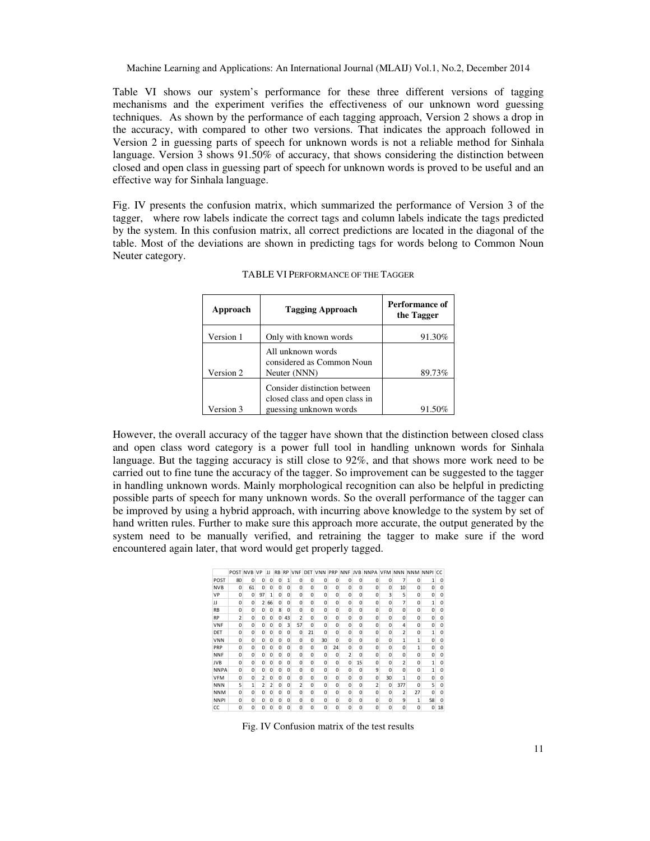Table VI shows our system's performance for these three different versions of tagging mechanisms and the experiment verifies the effectiveness of our unknown word guessing techniques. As shown by the performance of each tagging approach, Version 2 shows a drop in the accuracy, with compared to other two versions. That indicates the approach followed in Version 2 in guessing parts of speech for unknown words is not a reliable method for Sinhala language. Version 3 shows 91.50% of accuracy, that shows considering the distinction between closed and open class in guessing part of speech for unknown words is proved to be useful and an effective way for Sinhala language.

Fig. IV presents the confusion matrix, which summarized the performance of Version 3 of the tagger, where row labels indicate the correct tags and column labels indicate the tags predicted by the system. In this confusion matrix, all correct predictions are located in the diagonal of the table. Most of the deviations are shown in predicting tags for words belong to Common Noun Neuter category.

| Approach  | <b>Tagging Approach</b>                                                                  | <b>Performance of</b><br>the Tagger |  |  |
|-----------|------------------------------------------------------------------------------------------|-------------------------------------|--|--|
| Version 1 | Only with known words                                                                    | 91.30%                              |  |  |
| Version 2 | All unknown words<br>considered as Common Noun<br>Neuter (NNN)                           | 89.73%                              |  |  |
| Version 3 | Consider distinction between<br>closed class and open class in<br>guessing unknown words | 91.50%                              |  |  |

TABLE VI PERFORMANCE OF THE TAGGER

However, the overall accuracy of the tagger have shown that the distinction between closed class and open class word category is a power full tool in handling unknown words for Sinhala language. But the tagging accuracy is still close to 92%, and that shows more work need to be carried out to fine tune the accuracy of the tagger. So improvement can be suggested to the tagger in handling unknown words. Mainly morphological recognition can also be helpful in predicting possible parts of speech for many unknown words. So the overall performance of the tagger can be improved by using a hybrid approach, with incurring above knowledge to the system by set of hand written rules. Further to make sure this approach more accurate, the output generated by the system need to be manually verified, and retraining the tagger to make sure if the word encountered again later, that word would get properly tagged.

|             | POST        | <b>NVB</b>     | VP             | JJ             | <b>RB</b> | <b>RP</b>   | <b>VNF</b>     | DET         | <b>VNN</b> | PRP         | <b>NNF</b>     | <b>JVB</b> | <b>NNPA</b>    | <b>VFM</b>  | <b>NNN</b>     | <b>NNM</b>   | <b>NNPI</b>  | СC |
|-------------|-------------|----------------|----------------|----------------|-----------|-------------|----------------|-------------|------------|-------------|----------------|------------|----------------|-------------|----------------|--------------|--------------|----|
| POST        | 80          | 0              | 0              | 0              | 0         | 1           | $\mathbf 0$    | $\mathbf 0$ | 0          | 0           | $\mathbf 0$    | 0          | 0              | 0           | 7              | 0            | 1            | 0  |
| <b>NVB</b>  | 0           | 61             | $\mathbf 0$    | 0              | $\Omega$  | $\Omega$    | $\mathbf 0$    | $\mathbf 0$ | 0          | $\mathbf 0$ | $\mathbf 0$    | 0          | 0              | O           | 10             | 0            | $\mathbf 0$  | 0  |
| VP          | $\Omega$    | $\mathbf 0$    | 97             | $\mathbf{1}$   | 0         | $\Omega$    | $\mathbf 0$    | $\mathbf 0$ | Ō          | $\mathbf 0$ | $\mathbf 0$    | 0          | $\Omega$       | 3           | 5              | 0            | $\mathbf 0$  | 0  |
| IJ          | $\Omega$    | $\Omega$       | $\overline{2}$ | 66             | $\Omega$  | $\Omega$    | $\mathbf 0$    | $\mathbf 0$ | Ō          | $\mathbf 0$ | $\mathbf 0$    | 0          | $\Omega$       | $\Omega$    | 7              | 0            | $\mathbf{1}$ | 0  |
| <b>RB</b>   | $\mathbf 0$ | 0              | $\mathbf 0$    | $\mathbf 0$    | 8         | $\Omega$    | $\mathbf 0$    | $\mathbf 0$ | Ō          | $\mathbf 0$ | $\mathbf 0$    | 0          | $\Omega$       | $\Omega$    | 0              | 0            | 0            | 0  |
| <b>RP</b>   | 2           | $\mathbf 0$    | $\mathbf 0$    | $\mathbf 0$    | 0         | 43          | $\overline{2}$ | $\mathbf 0$ | 0          | $\mathbf 0$ | $\mathbf 0$    | 0          | $\mathbf 0$    | 0           | 0              | 0            | 0            | 0  |
| <b>VNF</b>  | 0           | $\mathbf 0$    | $\mathbf 0$    | $\mathbf 0$    | 0         | 3           | 57             | $\mathbf 0$ | 0          | $\mathbf 0$ | $\mathbf 0$    | 0          | $\mathbf 0$    | $\mathbf 0$ | 4              | 0            | 0            | 0  |
| DET         | 0           | $\mathbf 0$    | $\mathbf 0$    | $\mathbf 0$    | 0         | $\mathbf 0$ | $\mathbf 0$    | 21          | 0          | $\mathbf 0$ | $\mathbf 0$    | 0          | $\mathbf 0$    | $\Omega$    | $\overline{2}$ | 0            | $\mathbf{1}$ | 0  |
| <b>VNN</b>  | 0           | 0              | $\mathbf 0$    | $\mathbf 0$    | 0         | $\Omega$    | $\mathbf 0$    | $\mathbf 0$ | 30         | $\mathbf 0$ | $\mathbf 0$    | 0          | $\mathbf 0$    | $\Omega$    | 1              | $\mathbf{1}$ | $\mathbf 0$  | 0  |
| PRP         | $\Omega$    | 0              | $\mathbf 0$    | $\mathbf 0$    | 0         | $\Omega$    | $\mathbf 0$    | $\mathbf 0$ | 0          | 24          | $\mathbf 0$    | 0          | $\Omega$       | $\Omega$    | 0              | 1            | $\mathbf 0$  | 0  |
| <b>NNF</b>  | $\Omega$    | $\Omega$       | $\Omega$       | $\mathbf 0$    | 0         | $\Omega$    | $\Omega$       | $\Omega$    | 0          | $\Omega$    | $\overline{2}$ | $\Omega$   | $\Omega$       | $\Omega$    | $\Omega$       | $\Omega$     | 0            | 0  |
| <b>JVB</b>  | $\Omega$    | $\Omega$       | $\mathbf 0$    | $\mathbf 0$    | 0         | $\Omega$    | $\mathbf 0$    | $\mathbf 0$ | 0          | $\mathbf 0$ | $\mathbf 0$    | 15         | $\Omega$       | $\Omega$    | $\overline{2}$ | 0            | 1            | 0  |
| <b>NNPA</b> | $\mathbf 0$ | $\mathbf 0$    | $\mathbf 0$    | $\mathbf 0$    | 0         | $\mathbf 0$ | $\mathbf 0$    | $\mathbf 0$ | 0          | $\mathbf 0$ | $\mathbf 0$    | 0          | 9              | $\Omega$    | 0              | 0            | 1            | 0  |
| <b>VFM</b>  | 0           | $\mathbf 0$    | $\overline{2}$ | $\mathbf 0$    | 0         | 0           | $\mathbf 0$    | $\mathbf 0$ | Ō          | $\mathbf 0$ | $\mathbf 0$    | 0          | $\mathbf 0$    | 30          | 1              | 0            | $\mathbf 0$  | 0  |
| <b>NNN</b>  | 5           | $\overline{1}$ | $\overline{2}$ | $\overline{2}$ | 0         | $\Omega$    | $\overline{2}$ | $\mathbf 0$ | 0          | $\mathbf 0$ | $\mathbf 0$    | 0          | $\overline{2}$ | $\Omega$    | 377            | $\Omega$     | 5            | 0  |
| <b>NNM</b>  | $\Omega$    | 0              | $\mathbf 0$    | $\mathbf 0$    | $\Omega$  | 0           | 0              | $\mathbf 0$ | 0          | $\mathbf 0$ | $\mathbf 0$    | 0          | $\Omega$       | O           | $\overline{2}$ | 27           | $\Omega$     | 0  |
| <b>NNPI</b> | $\Omega$    | 0              | $\mathbf 0$    | $\mathbf 0$    | $\Omega$  | $\Omega$    | $\Omega$       | $\mathbf 0$ | Ō          | $\mathbf 0$ | $\mathbf 0$    | $\Omega$   | $\Omega$       | $\Omega$    | 9              | $\mathbf{1}$ | 58           | 0  |
| CC          | $\Omega$    | $\Omega$       | $\Omega$       | O              | O         | $\Omega$    | $\Omega$       | $\Omega$    | Ō          | $\Omega$    | $\Omega$       | $\Omega$   | $\Omega$       | $\Omega$    | $\Omega$       | $\Omega$     | $\Omega$     | 18 |

Fig. IV Confusion matrix of the test results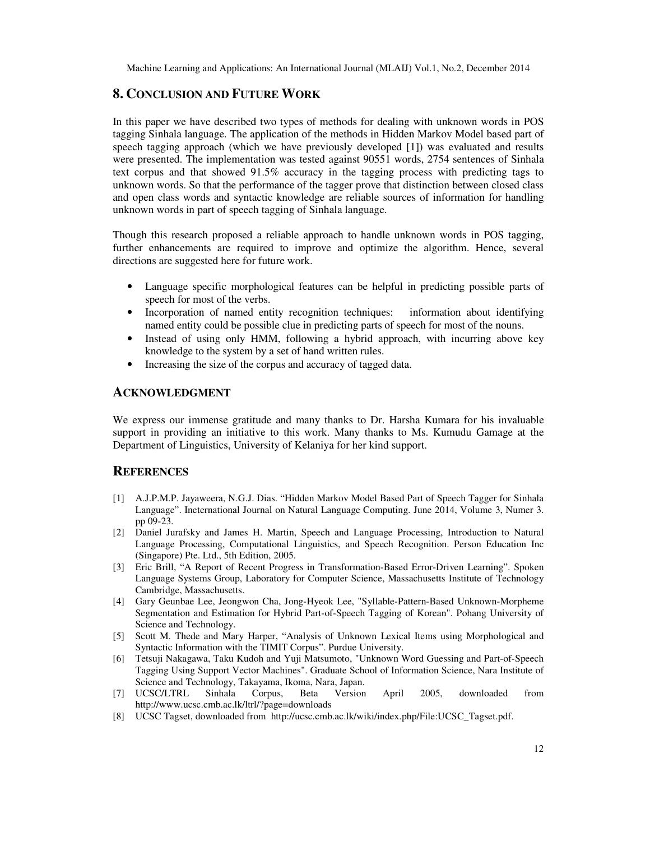## **8. CONCLUSION AND FUTURE WORK**

In this paper we have described two types of methods for dealing with unknown words in POS tagging Sinhala language. The application of the methods in Hidden Markov Model based part of speech tagging approach (which we have previously developed [1]) was evaluated and results were presented. The implementation was tested against 90551 words, 2754 sentences of Sinhala text corpus and that showed 91.5% accuracy in the tagging process with predicting tags to unknown words. So that the performance of the tagger prove that distinction between closed class and open class words and syntactic knowledge are reliable sources of information for handling unknown words in part of speech tagging of Sinhala language.

Though this research proposed a reliable approach to handle unknown words in POS tagging, further enhancements are required to improve and optimize the algorithm. Hence, several directions are suggested here for future work.

- Language specific morphological features can be helpful in predicting possible parts of speech for most of the verbs.
- Incorporation of named entity recognition techniques: information about identifying named entity could be possible clue in predicting parts of speech for most of the nouns.
- Instead of using only HMM, following a hybrid approach, with incurring above key knowledge to the system by a set of hand written rules.
- Increasing the size of the corpus and accuracy of tagged data.

#### **ACKNOWLEDGMENT**

We express our immense gratitude and many thanks to Dr. Harsha Kumara for his invaluable support in providing an initiative to this work. Many thanks to Ms. Kumudu Gamage at the Department of Linguistics, University of Kelaniya for her kind support.

#### **REFERENCES**

- [1] A.J.P.M.P. Jayaweera, N.G.J. Dias. "Hidden Markov Model Based Part of Speech Tagger for Sinhala Language". Ineternational Journal on Natural Language Computing. June 2014, Volume 3, Numer 3. pp 09-23.
- [2] Daniel Jurafsky and James H. Martin, Speech and Language Processing, Introduction to Natural Language Processing, Computational Linguistics, and Speech Recognition. Person Education Inc (Singapore) Pte. Ltd., 5th Edition, 2005.
- [3] Eric Brill, "A Report of Recent Progress in Transformation-Based Error-Driven Learning". Spoken Language Systems Group, Laboratory for Computer Science, Massachusetts Institute of Technology Cambridge, Massachusetts.
- [4] Gary Geunbae Lee, Jeongwon Cha, Jong-Hyeok Lee, "Syllable-Pattern-Based Unknown-Morpheme Segmentation and Estimation for Hybrid Part-of-Speech Tagging of Korean". Pohang University of Science and Technology.
- [5] Scott M. Thede and Mary Harper, "Analysis of Unknown Lexical Items using Morphological and Syntactic Information with the TIMIT Corpus". Purdue University.
- [6] Tetsuji Nakagawa, Taku Kudoh and Yuji Matsumoto, "Unknown Word Guessing and Part-of-Speech Tagging Using Support Vector Machines". Graduate School of Information Science, Nara Institute of Science and Technology, Takayama, Ikoma, Nara, Japan.
- [7] UCSC/LTRL Sinhala Corpus, Beta Version April 2005, downloaded from http://www.ucsc.cmb.ac.lk/ltrl/?page=downloads
- [8] UCSC Tagset, downloaded from http://ucsc.cmb.ac.lk/wiki/index.php/File:UCSC\_Tagset.pdf.